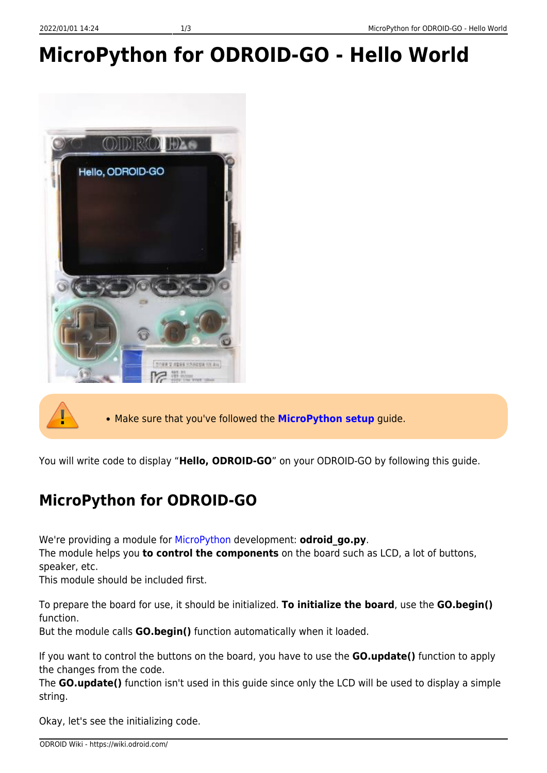# **MicroPython for ODROID-GO - Hello World**





Make sure that you've followed the **[MicroPython setup](https://wiki.odroid.com/odroid_go/micropython/01_micropython_setup)** guide.

You will write code to display "**Hello, ODROID-GO**" on your ODROID-GO by following this guide.

## **MicroPython for ODROID-GO**

We're providing a module for [MicroPython](https://wiki.odroid.com/odroid_go/micropython/micropython) development: **odroid\_go.py**.

The module helps you **to control the components** on the board such as LCD, a lot of buttons, speaker, etc.

This module should be included first.

To prepare the board for use, it should be initialized. **To initialize the board**, use the **GO.begin()** function.

But the module calls **GO.begin()** function automatically when it loaded.

If you want to control the buttons on the board, you have to use the **GO.update()** function to apply the changes from the code.

The **GO.update()** function isn't used in this guide since only the LCD will be used to display a simple string.

Okay, let's see the initializing code.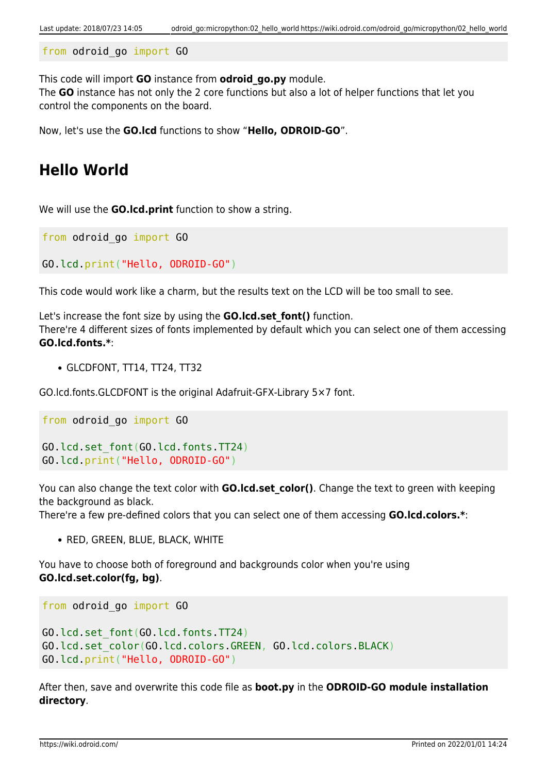```
from odroid_go import GO
```
This code will import **GO** instance from **odroid\_go.py** module.

The **GO** instance has not only the 2 core functions but also a lot of helper functions that let you control the components on the board.

Now, let's use the **GO.lcd** functions to show "**Hello, ODROID-GO**".

#### **Hello World**

We will use the **GO.lcd.print** function to show a string.

from odroid\_go import GO

GO.lcd.print("Hello, ODROID-GO")

This code would work like a charm, but the results text on the LCD will be too small to see.

Let's increase the font size by using the **GO.lcd.set\_font()** function. There're 4 different sizes of fonts implemented by default which you can select one of them accessing **GO.lcd.fonts.\***:

GLCDFONT, TT14, TT24, TT32

GO.lcd.fonts.GLCDFONT is the original Adafruit-GFX-Library 5×7 font.

from odroid go import GO GO.lcd.set\_font(GO.lcd.fonts.TT24) GO.lcd.print("Hello, ODROID-GO")

You can also change the text color with **GO.lcd.set\_color()**. Change the text to green with keeping the background as black.

There're a few pre-defined colors that you can select one of them accessing **GO.lcd.colors.\***:

```
• RED, GREEN, BLUE, BLACK, WHITE
```
You have to choose both of foreground and backgrounds color when you're using **GO.lcd.set.color(fg, bg)**.

```
from odroid_go import GO
GO.lcd.set_font(GO.lcd.fonts.TT24)
GO.lcd.set_color(GO.lcd.colors.GREEN, GO.lcd.colors.BLACK)
GO.lcd.print("Hello, ODROID-GO")
```
After then, save and overwrite this code file as **boot.py** in the **ODROID-GO module installation directory**.